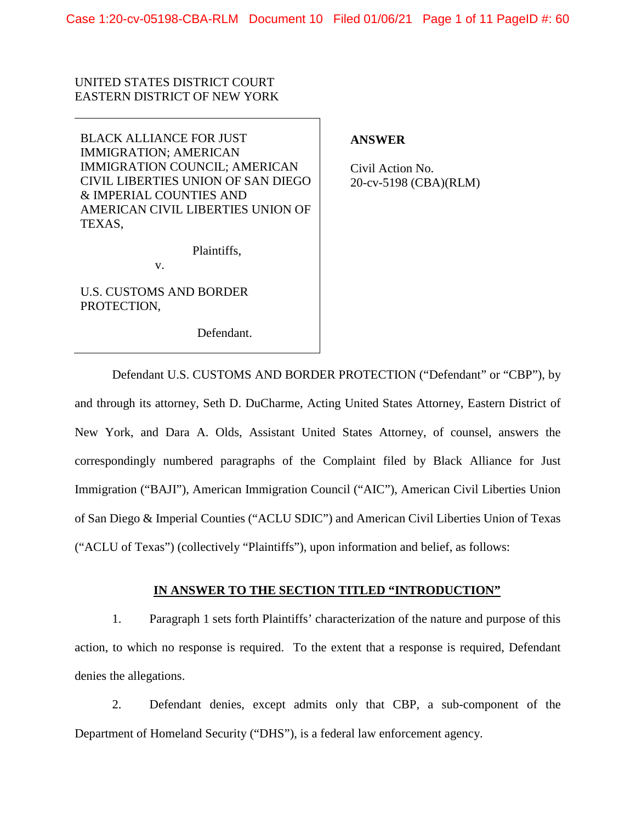# UNITED STATES DISTRICT COURT EASTERN DISTRICT OF NEW YORK

BLACK ALLIANCE FOR JUST IMMIGRATION; AMERICAN IMMIGRATION COUNCIL; AMERICAN CIVIL LIBERTIES UNION OF SAN DIEGO & IMPERIAL COUNTIES AND AMERICAN CIVIL LIBERTIES UNION OF TEXAS,

Plaintiffs,

v.

U.S. CUSTOMS AND BORDER PROTECTION,

Defendant.

# **ANSWER**

Civil Action No. 20-cv-5198 (CBA)(RLM)

Defendant U.S. CUSTOMS AND BORDER PROTECTION ("Defendant" or "CBP"), by and through its attorney, Seth D. DuCharme, Acting United States Attorney, Eastern District of New York, and Dara A. Olds, Assistant United States Attorney, of counsel, answers the correspondingly numbered paragraphs of the Complaint filed by Black Alliance for Just Immigration ("BAJI"), American Immigration Council ("AIC"), American Civil Liberties Union of San Diego & Imperial Counties ("ACLU SDIC") and American Civil Liberties Union of Texas ("ACLU of Texas") (collectively "Plaintiffs"), upon information and belief, as follows:

## **IN ANSWER TO THE SECTION TITLED "INTRODUCTION"**

1. Paragraph 1 sets forth Plaintiffs' characterization of the nature and purpose of this action, to which no response is required. To the extent that a response is required, Defendant denies the allegations.

2. Defendant denies, except admits only that CBP, a sub-component of the Department of Homeland Security ("DHS"), is a federal law enforcement agency.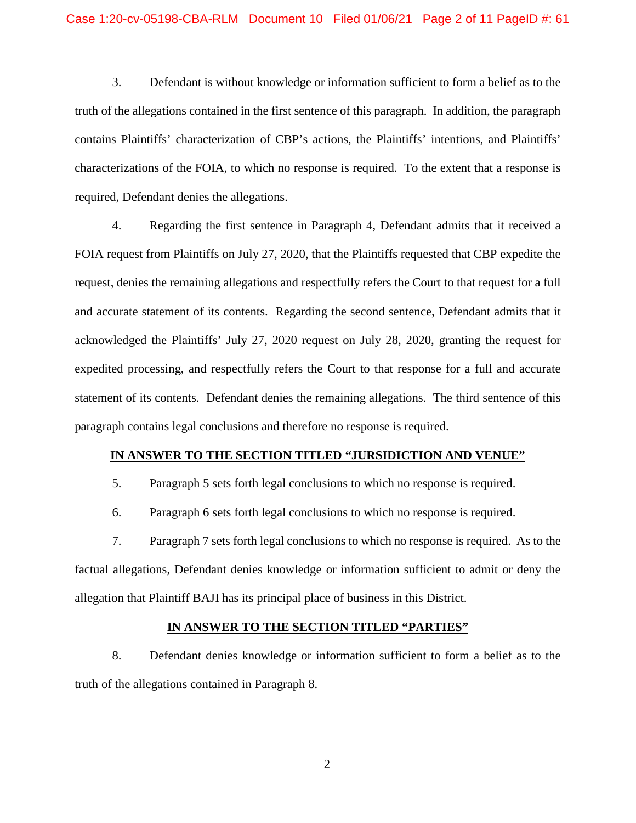3. Defendant is without knowledge or information sufficient to form a belief as to the truth of the allegations contained in the first sentence of this paragraph. In addition, the paragraph contains Plaintiffs' characterization of CBP's actions, the Plaintiffs' intentions, and Plaintiffs' characterizations of the FOIA, to which no response is required. To the extent that a response is required, Defendant denies the allegations.

4. Regarding the first sentence in Paragraph 4, Defendant admits that it received a FOIA request from Plaintiffs on July 27, 2020, that the Plaintiffs requested that CBP expedite the request, denies the remaining allegations and respectfully refers the Court to that request for a full and accurate statement of its contents. Regarding the second sentence, Defendant admits that it acknowledged the Plaintiffs' July 27, 2020 request on July 28, 2020, granting the request for expedited processing, and respectfully refers the Court to that response for a full and accurate statement of its contents. Defendant denies the remaining allegations. The third sentence of this paragraph contains legal conclusions and therefore no response is required.

## **IN ANSWER TO THE SECTION TITLED "JURSIDICTION AND VENUE"**

- 5. Paragraph 5 sets forth legal conclusions to which no response is required.
- 6. Paragraph 6 sets forth legal conclusions to which no response is required.

7. Paragraph 7 sets forth legal conclusions to which no response is required. As to the factual allegations, Defendant denies knowledge or information sufficient to admit or deny the allegation that Plaintiff BAJI has its principal place of business in this District.

### **IN ANSWER TO THE SECTION TITLED "PARTIES"**

8. Defendant denies knowledge or information sufficient to form a belief as to the truth of the allegations contained in Paragraph 8.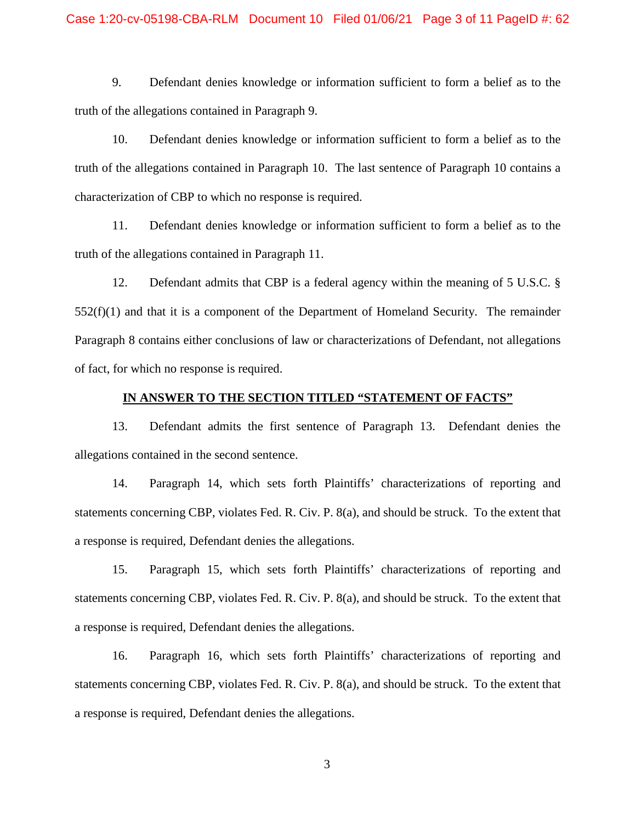9. Defendant denies knowledge or information sufficient to form a belief as to the truth of the allegations contained in Paragraph 9.

10. Defendant denies knowledge or information sufficient to form a belief as to the truth of the allegations contained in Paragraph 10. The last sentence of Paragraph 10 contains a characterization of CBP to which no response is required.

11. Defendant denies knowledge or information sufficient to form a belief as to the truth of the allegations contained in Paragraph 11.

12. Defendant admits that CBP is a federal agency within the meaning of 5 U.S.C. §  $552(f)(1)$  and that it is a component of the Department of Homeland Security. The remainder Paragraph 8 contains either conclusions of law or characterizations of Defendant, not allegations of fact, for which no response is required.

## **IN ANSWER TO THE SECTION TITLED "STATEMENT OF FACTS"**

13. Defendant admits the first sentence of Paragraph 13. Defendant denies the allegations contained in the second sentence.

14. Paragraph 14, which sets forth Plaintiffs' characterizations of reporting and statements concerning CBP, violates Fed. R. Civ. P. 8(a), and should be struck. To the extent that a response is required, Defendant denies the allegations.

15. Paragraph 15, which sets forth Plaintiffs' characterizations of reporting and statements concerning CBP, violates Fed. R. Civ. P. 8(a), and should be struck. To the extent that a response is required, Defendant denies the allegations.

16. Paragraph 16, which sets forth Plaintiffs' characterizations of reporting and statements concerning CBP, violates Fed. R. Civ. P. 8(a), and should be struck. To the extent that a response is required, Defendant denies the allegations.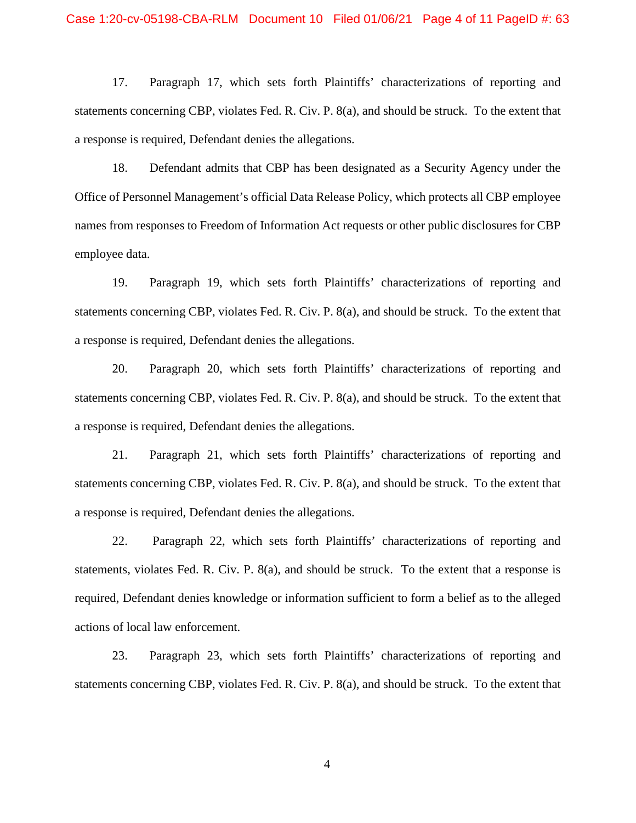17. Paragraph 17, which sets forth Plaintiffs' characterizations of reporting and statements concerning CBP, violates Fed. R. Civ. P. 8(a), and should be struck. To the extent that a response is required, Defendant denies the allegations.

18. Defendant admits that CBP has been designated as a Security Agency under the Office of Personnel Management's official Data Release Policy, which protects all CBP employee names from responses to Freedom of Information Act requests or other public disclosures for CBP employee data.

19. Paragraph 19, which sets forth Plaintiffs' characterizations of reporting and statements concerning CBP, violates Fed. R. Civ. P. 8(a), and should be struck. To the extent that a response is required, Defendant denies the allegations.

20. Paragraph 20, which sets forth Plaintiffs' characterizations of reporting and statements concerning CBP, violates Fed. R. Civ. P. 8(a), and should be struck. To the extent that a response is required, Defendant denies the allegations.

21. Paragraph 21, which sets forth Plaintiffs' characterizations of reporting and statements concerning CBP, violates Fed. R. Civ. P. 8(a), and should be struck. To the extent that a response is required, Defendant denies the allegations.

22. Paragraph 22, which sets forth Plaintiffs' characterizations of reporting and statements, violates Fed. R. Civ. P. 8(a), and should be struck. To the extent that a response is required, Defendant denies knowledge or information sufficient to form a belief as to the alleged actions of local law enforcement.

23. Paragraph 23, which sets forth Plaintiffs' characterizations of reporting and statements concerning CBP, violates Fed. R. Civ. P. 8(a), and should be struck. To the extent that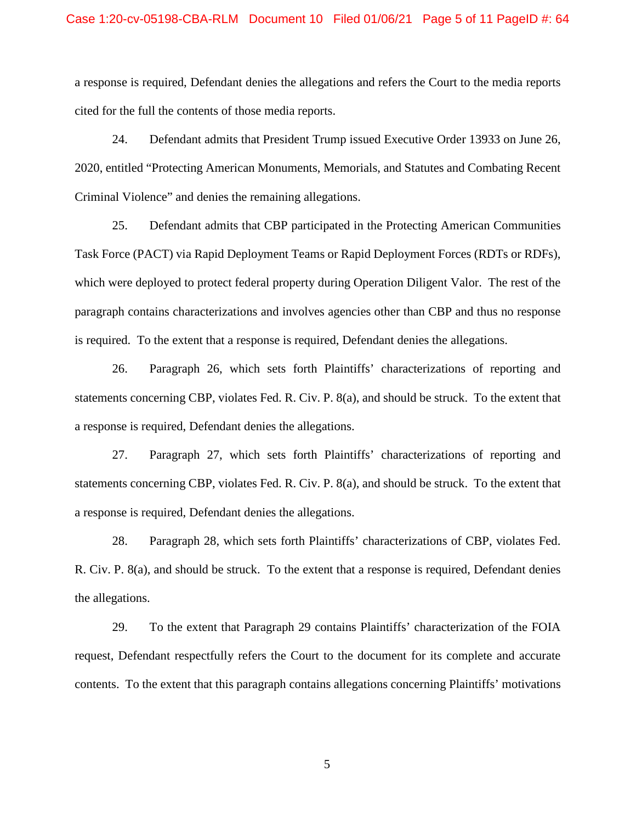a response is required, Defendant denies the allegations and refers the Court to the media reports cited for the full the contents of those media reports.

24. Defendant admits that President Trump issued Executive Order 13933 on June 26, 2020, entitled "Protecting American Monuments, Memorials, and Statutes and Combating Recent Criminal Violence" and denies the remaining allegations.

25. Defendant admits that CBP participated in the Protecting American Communities Task Force (PACT) via Rapid Deployment Teams or Rapid Deployment Forces (RDTs or RDFs), which were deployed to protect federal property during Operation Diligent Valor. The rest of the paragraph contains characterizations and involves agencies other than CBP and thus no response is required. To the extent that a response is required, Defendant denies the allegations.

26. Paragraph 26, which sets forth Plaintiffs' characterizations of reporting and statements concerning CBP, violates Fed. R. Civ. P. 8(a), and should be struck. To the extent that a response is required, Defendant denies the allegations.

27. Paragraph 27, which sets forth Plaintiffs' characterizations of reporting and statements concerning CBP, violates Fed. R. Civ. P. 8(a), and should be struck. To the extent that a response is required, Defendant denies the allegations.

28. Paragraph 28, which sets forth Plaintiffs' characterizations of CBP, violates Fed. R. Civ. P. 8(a), and should be struck. To the extent that a response is required, Defendant denies the allegations.

29. To the extent that Paragraph 29 contains Plaintiffs' characterization of the FOIA request, Defendant respectfully refers the Court to the document for its complete and accurate contents. To the extent that this paragraph contains allegations concerning Plaintiffs' motivations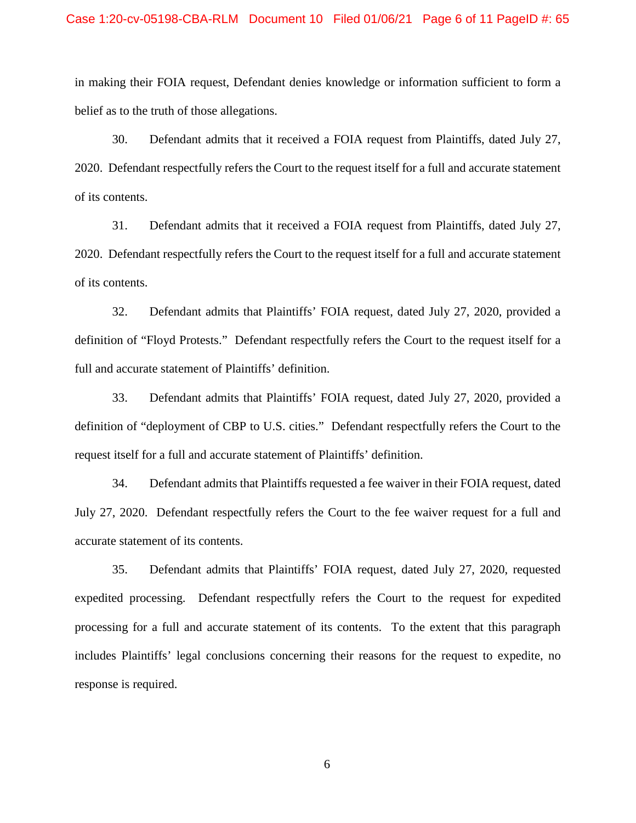in making their FOIA request, Defendant denies knowledge or information sufficient to form a belief as to the truth of those allegations.

30. Defendant admits that it received a FOIA request from Plaintiffs, dated July 27, 2020. Defendant respectfully refers the Court to the request itself for a full and accurate statement of its contents.

31. Defendant admits that it received a FOIA request from Plaintiffs, dated July 27, 2020. Defendant respectfully refers the Court to the request itself for a full and accurate statement of its contents.

32. Defendant admits that Plaintiffs' FOIA request, dated July 27, 2020, provided a definition of "Floyd Protests." Defendant respectfully refers the Court to the request itself for a full and accurate statement of Plaintiffs' definition.

33. Defendant admits that Plaintiffs' FOIA request, dated July 27, 2020, provided a definition of "deployment of CBP to U.S. cities." Defendant respectfully refers the Court to the request itself for a full and accurate statement of Plaintiffs' definition.

34. Defendant admits that Plaintiffs requested a fee waiver in their FOIA request, dated July 27, 2020. Defendant respectfully refers the Court to the fee waiver request for a full and accurate statement of its contents.

35. Defendant admits that Plaintiffs' FOIA request, dated July 27, 2020, requested expedited processing. Defendant respectfully refers the Court to the request for expedited processing for a full and accurate statement of its contents. To the extent that this paragraph includes Plaintiffs' legal conclusions concerning their reasons for the request to expedite, no response is required.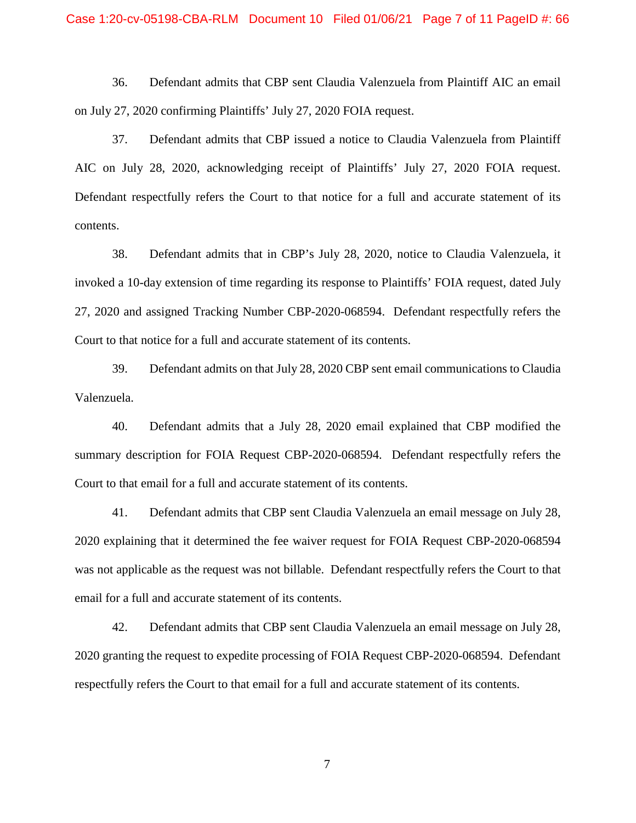### Case 1:20-cv-05198-CBA-RLM Document 10 Filed 01/06/21 Page 7 of 11 PageID #: 66

36. Defendant admits that CBP sent Claudia Valenzuela from Plaintiff AIC an email on July 27, 2020 confirming Plaintiffs' July 27, 2020 FOIA request.

37. Defendant admits that CBP issued a notice to Claudia Valenzuela from Plaintiff AIC on July 28, 2020, acknowledging receipt of Plaintiffs' July 27, 2020 FOIA request. Defendant respectfully refers the Court to that notice for a full and accurate statement of its contents.

38. Defendant admits that in CBP's July 28, 2020, notice to Claudia Valenzuela, it invoked a 10-day extension of time regarding its response to Plaintiffs' FOIA request, dated July 27, 2020 and assigned Tracking Number CBP-2020-068594. Defendant respectfully refers the Court to that notice for a full and accurate statement of its contents.

39. Defendant admits on that July 28, 2020 CBP sent email communications to Claudia Valenzuela.

40. Defendant admits that a July 28, 2020 email explained that CBP modified the summary description for FOIA Request CBP-2020-068594. Defendant respectfully refers the Court to that email for a full and accurate statement of its contents.

41. Defendant admits that CBP sent Claudia Valenzuela an email message on July 28, 2020 explaining that it determined the fee waiver request for FOIA Request CBP-2020-068594 was not applicable as the request was not billable. Defendant respectfully refers the Court to that email for a full and accurate statement of its contents.

42. Defendant admits that CBP sent Claudia Valenzuela an email message on July 28, 2020 granting the request to expedite processing of FOIA Request CBP-2020-068594. Defendant respectfully refers the Court to that email for a full and accurate statement of its contents.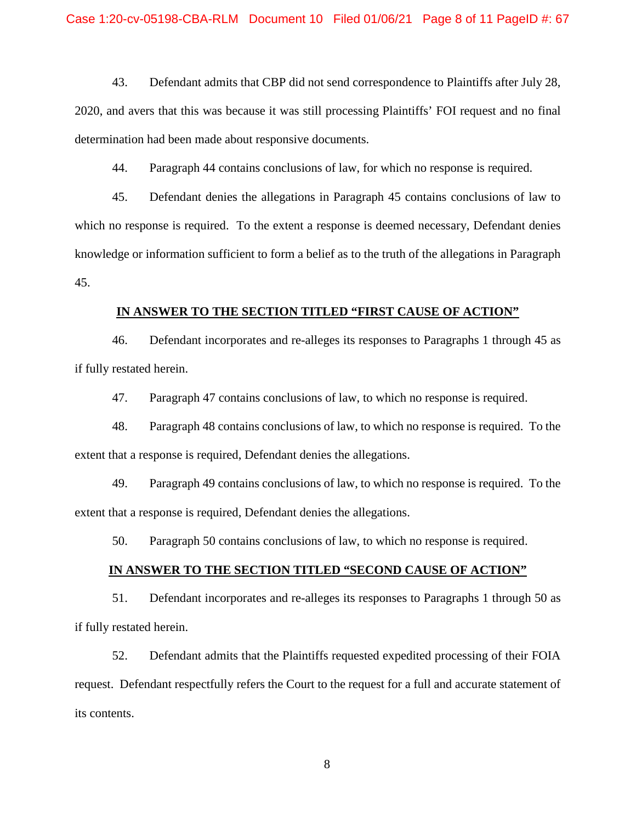43. Defendant admits that CBP did not send correspondence to Plaintiffs after July 28, 2020, and avers that this was because it was still processing Plaintiffs' FOI request and no final determination had been made about responsive documents.

44. Paragraph 44 contains conclusions of law, for which no response is required.

45. Defendant denies the allegations in Paragraph 45 contains conclusions of law to which no response is required. To the extent a response is deemed necessary, Defendant denies knowledge or information sufficient to form a belief as to the truth of the allegations in Paragraph 45.

## **IN ANSWER TO THE SECTION TITLED "FIRST CAUSE OF ACTION"**

46. Defendant incorporates and re-alleges its responses to Paragraphs 1 through 45 as if fully restated herein.

47. Paragraph 47 contains conclusions of law, to which no response is required.

48. Paragraph 48 contains conclusions of law, to which no response is required. To the extent that a response is required, Defendant denies the allegations.

49. Paragraph 49 contains conclusions of law, to which no response is required. To the extent that a response is required, Defendant denies the allegations.

50. Paragraph 50 contains conclusions of law, to which no response is required.

## **IN ANSWER TO THE SECTION TITLED "SECOND CAUSE OF ACTION"**

51. Defendant incorporates and re-alleges its responses to Paragraphs 1 through 50 as if fully restated herein.

52. Defendant admits that the Plaintiffs requested expedited processing of their FOIA request. Defendant respectfully refers the Court to the request for a full and accurate statement of its contents.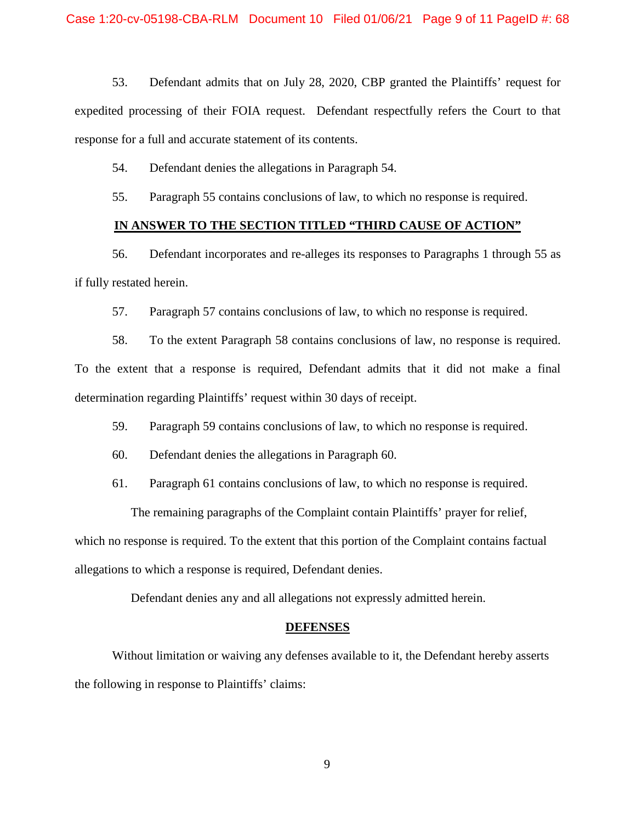53. Defendant admits that on July 28, 2020, CBP granted the Plaintiffs' request for expedited processing of their FOIA request. Defendant respectfully refers the Court to that response for a full and accurate statement of its contents.

54. Defendant denies the allegations in Paragraph 54.

55. Paragraph 55 contains conclusions of law, to which no response is required.

## **IN ANSWER TO THE SECTION TITLED "THIRD CAUSE OF ACTION"**

56. Defendant incorporates and re-alleges its responses to Paragraphs 1 through 55 as if fully restated herein.

57. Paragraph 57 contains conclusions of law, to which no response is required.

58. To the extent Paragraph 58 contains conclusions of law, no response is required. To the extent that a response is required, Defendant admits that it did not make a final determination regarding Plaintiffs' request within 30 days of receipt.

59. Paragraph 59 contains conclusions of law, to which no response is required.

- 60. Defendant denies the allegations in Paragraph 60.
- 61. Paragraph 61 contains conclusions of law, to which no response is required.

The remaining paragraphs of the Complaint contain Plaintiffs' prayer for relief,

which no response is required. To the extent that this portion of the Complaint contains factual allegations to which a response is required, Defendant denies.

Defendant denies any and all allegations not expressly admitted herein.

#### **DEFENSES**

Without limitation or waiving any defenses available to it, the Defendant hereby asserts the following in response to Plaintiffs' claims: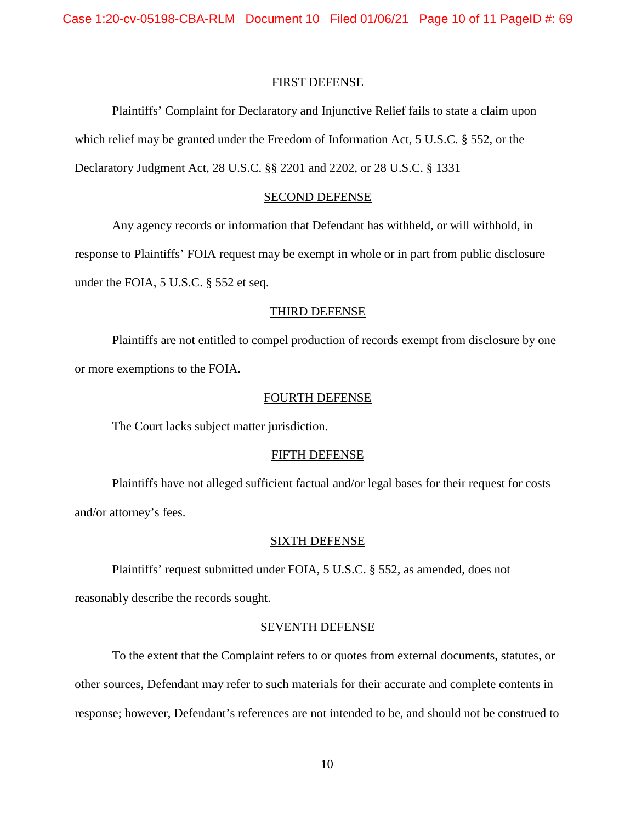### FIRST DEFENSE

Plaintiffs' Complaint for Declaratory and Injunctive Relief fails to state a claim upon which relief may be granted under the Freedom of Information Act, 5 U.S.C. § 552, or the Declaratory Judgment Act, 28 U.S.C. §§ 2201 and 2202, or 28 U.S.C. § 1331

## SECOND DEFENSE

Any agency records or information that Defendant has withheld, or will withhold, in

response to Plaintiffs' FOIA request may be exempt in whole or in part from public disclosure

under the FOIA, 5 U.S.C. § 552 et seq.

#### THIRD DEFENSE

Plaintiffs are not entitled to compel production of records exempt from disclosure by one or more exemptions to the FOIA.

#### FOURTH DEFENSE

The Court lacks subject matter jurisdiction.

#### FIFTH DEFENSE

Plaintiffs have not alleged sufficient factual and/or legal bases for their request for costs and/or attorney's fees.

#### SIXTH DEFENSE

Plaintiffs' request submitted under FOIA, 5 U.S.C. § 552, as amended, does not

reasonably describe the records sought.

## SEVENTH DEFENSE

To the extent that the Complaint refers to or quotes from external documents, statutes, or other sources, Defendant may refer to such materials for their accurate and complete contents in response; however, Defendant's references are not intended to be, and should not be construed to